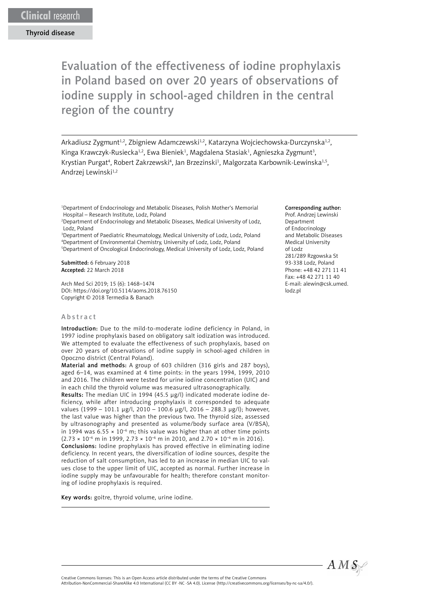Evaluation of the effectiveness of iodine prophylaxis in Poland based on over 20 years of observations of iodine supply in school-aged children in the central region of the country

Arkadiusz Zygmunt<sup>1,2</sup>, Zbigniew Adamczewski<sup>1,2</sup>, Katarzyna Wojciechowska-Durczynska<sup>1,2</sup>, Kinga Krawczyk-Rusiecka<sup>1,2</sup>, Ewa Bieniek<sup>1</sup>, Magdalena Stasiak<sup>1</sup>, Agnieszka Zygmunt<sup>3</sup>, Krystian Purgat<sup>4</sup>, Robert Zakrzewski<sup>4</sup>, Jan Brzezinski<sup>1</sup>, Malgorzata Karbownik-Lewinska<sup>1,5</sup>, Andrzej Lewinski<sup>1,2</sup>

1 Department of Endocrinology and Metabolic Diseases, Polish Mother's Memorial Hospital – Research Institute, Lodz, Poland

2 Department of Endocrinology and Metabolic Diseases, Medical University of Lodz, Lodz, Poland

<sup>3</sup>Department of Paediatric Rheumatology, Medical University of Lodz, Lodz, Poland 4 Department of Environmental Chemistry, University of Lodz, Lodz, Poland

5 Department of Oncological Endocrinology, Medical University of Lodz, Lodz, Poland Submitted: 6 February 2018

Accepted: 22 March 2018

Arch Med Sci 2019; 15 (6): 1468–1474 DOI: https://doi.org/10.5114/aoms.2018.76150 Copyright © 2018 Termedia & Banach

#### Abstract

Introduction: Due to the mild-to-moderate iodine deficiency in Poland, in 1997 iodine prophylaxis based on obligatory salt iodization was introduced. We attempted to evaluate the effectiveness of such prophylaxis, based on over 20 years of observations of iodine supply in school-aged children in Opoczno district (Central Poland).

Material and methods: A group of 603 children (316 girls and 287 boys), aged 6–14, was examined at 4 time points: in the years 1994, 1999, 2010 and 2016. The children were tested for urine iodine concentration (UIC) and in each child the thyroid volume was measured ultrasonographically.

Results: The median UIC in 1994 (45.5 μg/l) indicated moderate iodine deficiency, while after introducing prophylaxis it corresponded to adequate values (1999 – 101.1 μg/l, 2010 – 100.6 μg/l, 2016 – 288.3 μg/l); however, the last value was higher than the previous two. The thyroid size, assessed by ultrasonography and presented as volume/body surface area (V/BSA), in 1994 was  $6.55 \times 10^{-6}$  m; this value was higher than at other time points  $(2.73 \times 10^{-6} \text{ m} \text{ in } 1999, 2.73 \times 10^{-6} \text{ m} \text{ in } 2010, \text{ and } 2.70 \times 10^{-6} \text{ m} \text{ in } 2016).$ 

Conclusions: Iodine prophylaxis has proved effective in eliminating iodine deficiency. In recent years, the diversification of iodine sources, despite the reduction of salt consumption, has led to an increase in median UIC to values close to the upper limit of UIC, accepted as normal. Further increase in iodine supply may be unfavourable for health; therefore constant monitoring of iodine prophylaxis is required.

Key words: goitre, thyroid volume, urine iodine.

#### Corresponding author:

Prof. Andrzej Lewinski Department of Endocrinology and Metabolic Diseases Medical University of Lodz 281/289 Rzgowska St 93-338 Lodz, Poland Phone: +48 42 271 11 41 Fax: +48 42 271 11 40 E-mail: [alewin@csk.umed.](mailto:alewin@csk.umed.lodz.pl) [lodz.pl](mailto:alewin@csk.umed.lodz.pl)



Creative Commons licenses: This is an Open Access article distributed under the terms of the Creative Commons Attribution-NonCommercial-ShareAlike 4.0 International (CC BY -NC -SA 4.0). License (http://creativecommons.org/licenses/by-nc-sa/4.0/).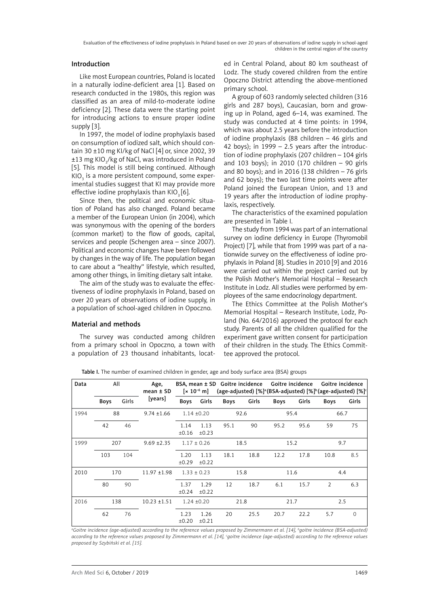# Introduction

Like most European countries, Poland is located in a naturally iodine-deficient area [1]. Based on research conducted in the 1980s, this region was classified as an area of mild-to-moderate iodine deficiency [2]. These data were the starting point for introducing actions to ensure proper iodine supply [3].

In 1997, the model of iodine prophylaxis based on consumption of iodized salt, which should contain 30 ±10 mg KI/kg of NaCl [4] or, since 2002, 39  $\pm 13$  mg KIO $_{\tiny 3}$ /kg of NaCl, was introduced in Poland [5]. This model is still being continued. Although KIO $_{_3}$  is a more persistent compound, some experimental studies suggest that KI may provide more effective iodine prophylaxis than  $KIO$ <sub>3</sub> [6].

Since then, the political and economic situation of Poland has also changed. Poland became a member of the European Union (in 2004), which was synonymous with the opening of the borders (common market) to the flow of goods, capital, services and people (Schengen area – since 2007). Political and economic changes have been followed by changes in the way of life. The population began to care about a "healthy" lifestyle, which resulted, among other things, in limiting dietary salt intake.

The aim of the study was to evaluate the effectiveness of iodine prophylaxis in Poland, based on over 20 years of observations of iodine supply, in a population of school-aged children in Opoczno.

# Material and methods

The survey was conducted among children from a primary school in Opoczno, a town with a population of 23 thousand inhabitants, located in Central Poland, about 80 km southeast of Lodz. The study covered children from the entire Opoczno District attending the above-mentioned primary school.

A group of 603 randomly selected children (316 girls and 287 boys), Caucasian, born and growing up in Poland, aged 6–14, was examined. The study was conducted at 4 time points: in 1994, which was about 2.5 years before the introduction of iodine prophylaxis (88 children – 46 girls and 42 boys); in  $1999 - 2.5$  years after the introduction of iodine prophylaxis (207 children – 104 girls and 103 boys); in 2010 (170 children – 90 girls and 80 boys); and in 2016 (138 children – 76 girls and 62 boys); the two last time points were after Poland joined the European Union, and 13 and 19 years after the introduction of iodine prophylaxis, respectively.

The characteristics of the examined population are presented in Table I.

The study from 1994 was part of an international survey on iodine deficiency in Europe (Thyromobil Project) [7], while that from 1999 was part of a nationwide survey on the effectiveness of iodine prophylaxis in Poland [8]. Studies in 2010 [9] and 2016 were carried out within the project carried out by the Polish Mother's Memorial Hospital – Research Institute in Lodz. All studies were performed by employees of the same endocrinology department.

The Ethics Committee at the Polish Mother's Memorial Hospital – Research Institute, Lodz, Poland (No. 64/2016) approved the protocol for each study. Parents of all the children qualified for the experiment gave written consent for participation of their children in the study. The Ethics Committee approved the protocol.

| Data | All         |       | Age,<br>$mean \pm SD$ | $[x 10^{-6} m]$ |               | BSA, mean ± SD Goitre incidence Goitre incidence |       | (age-adjusted) [%] <sup>a</sup> (BSA-adjusted) [%] <sup>b</sup> (age-adjusted) [%] <sup>c</sup> |       | Goitre incidence |       |
|------|-------------|-------|-----------------------|-----------------|---------------|--------------------------------------------------|-------|-------------------------------------------------------------------------------------------------|-------|------------------|-------|
|      | <b>Boys</b> | Girls | [years]               | Boys            | Girls         | <b>Boys</b>                                      | Girls | <b>Boys</b>                                                                                     | Girls | <b>Boys</b>      | Girls |
| 1994 | 88          |       | $9.74 \pm 1.66$       | $1.14 \pm 0.20$ |               | 92.6                                             |       | 95.4                                                                                            |       | 66.7             |       |
|      | 42          | 46    |                       | 1.14<br>±0.16   | 1.13<br>±0.23 | 95.1                                             | 90    | 95.2                                                                                            | 95.6  | 59               | 75    |
| 1999 | 207         |       | $9.69 \pm 2.35$       | $1.17 \pm 0.26$ |               | 18.5                                             |       | 15.2                                                                                            |       | 9.7              |       |
|      | 103         | 104   |                       | 1.20<br>±0.29   | 1.13<br>±0.22 | 18.1                                             | 18.8  | 12.2                                                                                            | 17.8  | 10.8             | 8.5   |
| 2010 | 170         |       | $11.97 \pm 1.98$      | $1.33 \pm 0.23$ |               | 15.8                                             |       | 11.6                                                                                            |       | 4.4              |       |
|      | 80          | 90    |                       | 1.37<br>±0.24   | 1.29<br>±0.22 | 12                                               | 18.7  | 6.1                                                                                             | 15.7  | 2                | 6.3   |
| 2016 | 138         |       | $10.23 \pm 1.51$      | $1.24 \pm 0.20$ |               | 21.8                                             |       | 21.7                                                                                            |       | 2.5              |       |
|      | 62          | 76    |                       | 1.23<br>±0.20   | 1.26<br>±0.21 | 20                                               | 25.5  | 20.7                                                                                            | 22.2  | 5.7              | 0     |

Table I. The number of examined children in gender, age and body surface area (BSA) groups

*a Goitre incidence (age-adjusted) according to the reference values proposed by Zimmermann et al. [14], b goitre incidence (BSA-adjusted)*  according to the reference values proposed by Zimmermann et al. [14], <sup>c</sup>goitre incidence (age-adjusted) according to the reference values *proposed by Szybiński et al. [15].*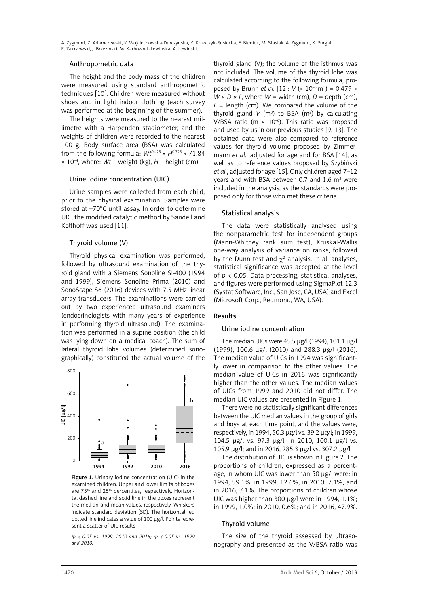A. Zygmunt, Z. Adamczewski, K. Wojciechowska-Durczynska, K. Krawczyk-Rusiecka, E. Bieniek, M. Stasiak, A. Zygmunt, K. Purgat, R. Zakrzewski, J. Brzezinski, M. Karbownik-Lewinska, A. Lewinski

## Anthropometric data

The height and the body mass of the children were measured using standard anthropometric techniques [10]. Children were measured without shoes and in light indoor clothing (each survey was performed at the beginning of the summer).

The heights were measured to the nearest millimetre with a Harpenden stadiometer, and the weights of children were recorded to the nearest 100 g. Body surface area (BSA) was calculated from the following formula:  $Wt^{0.425} \times H^{0.725} \times 71.84$  $\times$  10<sup>-4</sup>, where: *Wt* – weight (kg), *H* – height (cm).

## Urine iodine concentration (UIC)

Urine samples were collected from each child, prior to the physical examination. Samples were stored at –70°C until assay. In order to determine UIC, the modified catalytic method by Sandell and Kolthoff was used [11].

## Thyroid volume (V)

Thyroid physical examination was performed, followed by ultrasound examination of the thyroid gland with a Siemens Sonoline SI-400 (1994 and 1999), Siemens Sonoline Prima (2010) and SonoScape S6 (2016) devices with 7.5 MHz linear array transducers. The examinations were carried out by two experienced ultrasound examiners (endocrinologists with many years of experience in performing thyroid ultrasound). The examination was performed in a supine position (the child was lying down on a medical coach). The sum of lateral thyroid lobe volumes (determined sonographically) constituted the actual volume of the



Figure 1. Urinary iodine concentration (UIC) in the examined children. Upper and lower limits of boxes are 75<sup>th</sup> and 25<sup>th</sup> percentiles, respectively. Horizontal dashed line and solid line in the boxes represent the median and mean values, respectively. Whiskers indicate standard deviation (SD). The horizontal red dotted line indicates a value of 100 µg/l. Points represent a scatter of UIC results

*a p < 0.05 vs. 1999, 2010 and 2016; b p < 0.05 vs. 1999 and 2010.*

thyroid gland (V); the volume of the isthmus was not included. The volume of the thyroid lobe was calculated according to the following formula, proposed by Brunn *et al.* [12]: *V* (× 10–6 m3 ) = 0.479 ×  $W \times D \times L$ , where  $W =$  width (cm),  $D =$  depth (cm),  $L =$  length (cm). We compared the volume of the thyroid gland  $V$  (m<sup>3</sup>) to BSA (m<sup>2</sup>) by calculating V/BSA ratio ( $m \times 10^{-6}$ ). This ratio was proposed and used by us in our previous studies [9, 13]. The obtained data were also compared to reference values for thyroid volume proposed by Zimmermann *et al.*, adjusted for age and for BSA [14], as well as to reference values proposed by Szybiński *et al.*, adjusted for age [15]. Only children aged 7–12 years and with BSA between 0.7 and 1.6  $m<sup>2</sup>$  were included in the analysis, as the standards were proposed only for those who met these criteria.

### Statistical analysis

The data were statistically analysed using the nonparametric test for independent groups (Mann-Whitney rank sum test), Kruskal-Wallis one-way analysis of variance on ranks, followed by the Dunn test and  $\chi^2$  analysis. In all analyses, statistical significance was accepted at the level of  $p \lt 0.05$ . Data processing, statistical analyses, and figures were performed using SigmaPlot 12.3 (Systat Software, Inc., San Jose, CA, USA) and Excel (Microsoft Corp., Redmond, WA, USA).

#### Results

#### Urine iodine concentration

The median UICs were 45.5 µg/l (1994), 101.1 µg/l (1999), 100.6 µg/l (2010) and 288.3 µg/l (2016). The median value of UICs in 1994 was significantly lower in comparison to the other values. The median value of UICs in 2016 was significantly higher than the other values. The median values of UICs from 1999 and 2010 did not differ. The median UIC values are presented in Figure 1.

There were no statistically significant differences between the UIC median values in the group of girls and boys at each time point, and the values were, respectively, in 1994, 50.3 μg/l vs. 39.2 μg/l; in 1999, 104.5 μg/l vs. 97.3 μg/l; in 2010, 100.1 μg/l vs. 105.9 μg/l; and in 2016, 285.3 μg/l vs. 307.2 μg/l.

The distribution of UIC is shown in Figure 2. The proportions of children, expressed as a percentage, in whom UIC was lower than 50 μg/l were: in 1994, 59.1%; in 1999, 12.6%; in 2010, 7.1%; and in 2016, 7.1%. The proportions of children whose UIC was higher than 300 μg/l were in 1994, 1.1%; in 1999, 1.0%; in 2010, 0.6%; and in 2016, 47.9%.

## Thyroid volume

The size of the thyroid assessed by ultrasonography and presented as the V/BSA ratio was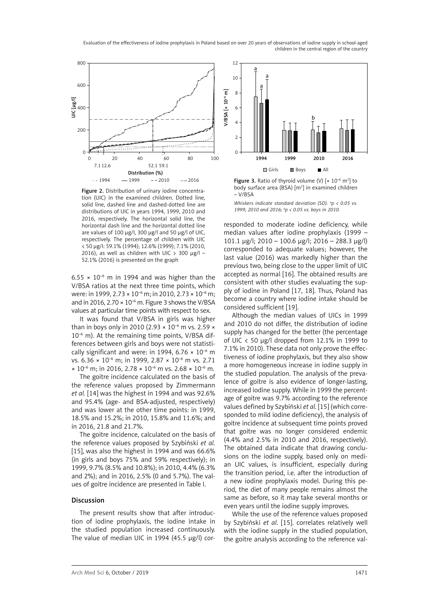Evaluation of the effectiveness of iodine prophylaxis in Poland based on over 20 years of observations of iodine supply in school-aged children in the central region of the country



Figure 2. Distribution of urinary iodine concentration (UIC) in the examined children. Dotted line, solid line, dashed line and dashed-dotted line are distributions of UIC in years 1994, 1999, 2010 and 2016, respectively. The horizontal solid line, the horizontal dash line and the horizontal dotted line are values of 100 µg/l, 300 µg/l and 50 µg/l of UIC, respectively. The percentage of children with UIC < 50 µg/l: 59.1% (1994); 12.6% (1999); 7.1% (2010, 2016), as well as children with UIC  $>$  300 µg/l – 52.1% (2016) is presented on the graph

6.55  $\times$  10<sup>-6</sup> m in 1994 and was higher than the V/BSA ratios at the next three time points, which were: in 1999, 2.73 × 10<sup>-6</sup> m; in 2010, 2.73 × 10<sup>-6</sup> m; and in 2016, 2.70  $\times$  10<sup>-6</sup> m. Figure 3 shows the V/BSA values at particular time points with respect to sex.

It was found that V/BSA in girls was higher than in boys only in 2010 (2.93  $\times$  10<sup>-6</sup> m vs. 2.59  $\times$  $10^{-6}$  m). At the remaining time points, V/BSA differences between girls and boys were not statistically significant and were: in 1994, 6.76  $\times$  10<sup>-6</sup> m vs.  $6.36 \times 10^{-6}$  m; in 1999,  $2.87 \times 10^{-6}$  m vs. 2.71  $\times$  10<sup>-6</sup> m; in 2016, 2.78  $\times$  10<sup>-6</sup> m vs. 2.68  $\times$  10<sup>-6</sup> m.

The goitre incidence calculated on the basis of the reference values proposed by Zimmermann *et al.* [14] was the highest in 1994 and was 92.6% and 95.4% (age- and BSA-adjusted, respectively) and was lower at the other time points: in 1999, 18.5% and 15.2%; in 2010, 15.8% and 11.6%; and in 2016, 21.8 and 21.7%.

The goitre incidence, calculated on the basis of the reference values proposed by Szybiński *et al.* [15], was also the highest in 1994 and was 66.6% (in girls and boys 75% and 59% respectively); in 1999, 9.7% (8.5% and 10.8%); in 2010, 4.4% (6.3% and 2%); and in 2016, 2.5% (0 and 5.7%). The values of goitre incidence are presented in Table I.

## Discussion

The present results show that after introduction of iodine prophylaxis, the iodine intake in the studied population increased continuously. The value of median UIC in 1994 (45.5 μg/l) cor-



**Figure 3.** Ratio of thyroid volume (V)  $[x 10^{-6} \text{ m}^3]$  to body surface area (BSA) [m<sup>2</sup>] in examined children – V/BSA

*Whiskers indicate standard deviation (SD).* <sup>*a*</sup> $p$  < 0.05 vs. *1999, 2010 and 2016; b p < 0.05 vs. boys in 2010.*

responded to moderate iodine deficiency, while median values after iodine prophylaxis (1999 – 101.1 μg/l; 2010 – 100.6 μg/l; 2016 – 288.3 μg/l) corresponded to adequate values; however, the last value (2016) was markedly higher than the previous two, being close to the upper limit of UIC accepted as normal [16]. The obtained results are consistent with other studies evaluating the supply of iodine in Poland [17, 18]. Thus, Poland has become a country where iodine intake should be considered sufficient [19].

Although the median values of UICs in 1999 and 2010 do not differ, the distribution of iodine supply has changed for the better (the percentage of UIC  $\langle$  50 µg/l dropped from 12.1% in 1999 to 7.1% in 2010). These data not only prove the effectiveness of iodine prophylaxis, but they also show a more homogeneous increase in iodine supply in the studied population. The analysis of the prevalence of goitre is also evidence of longer-lasting, increased iodine supply. While in 1999 the percentage of goitre was 9.7% according to the reference values defined by Szybiński *et al.* [15] (which corresponded to mild iodine deficiency), the analysis of goitre incidence at subsequent time points proved that goitre was no longer considered endemic (4.4% and 2.5% in 2010 and 2016, respectively). The obtained data indicate that drawing conclusions on the iodine supply, based only on median UIC values, is insufficient, especially during the transition period, i.e. after the introduction of a new iodine prophylaxis model. During this period, the diet of many people remains almost the same as before, so it may take several months or even years until the iodine supply improves.

While the use of the reference values proposed by Szybiński *et al.* [15]. correlates relatively well with the iodine supply in the studied population, the goitre analysis according to the reference val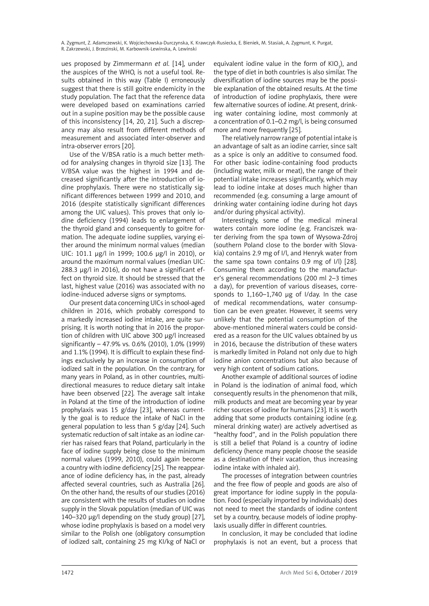A. Zygmunt, Z. Adamczewski, K. Wojciechowska-Durczynska, K. Krawczyk-Rusiecka, E. Bieniek, M. Stasiak, A. Zygmunt, K. Purgat, R. Zakrzewski, J. Brzezinski, M. Karbownik-Lewinska, A. Lewinski

ues proposed by Zimmermann *et al.* [14], under the auspices of the WHO, is not a useful tool. Results obtained in this way (Table I) erroneously suggest that there is still goitre endemicity in the study population. The fact that the reference data were developed based on examinations carried out in a supine position may be the possible cause of this inconsistency [14, 20, 21]. Such a discrepancy may also result from different methods of measurement and associated inter-observer and intra-observer errors [20].

Use of the V/BSA ratio is a much better method for analysing changes in thyroid size [13]. The V/BSA value was the highest in 1994 and decreased significantly after the introduction of iodine prophylaxis. There were no statistically significant differences between 1999 and 2010, and 2016 (despite statistically significant differences among the UIC values). This proves that only iodine deficiency (1994) leads to enlargement of the thyroid gland and consequently to goitre formation. The adequate iodine supplies, varying either around the minimum normal values (median UIC: 101.1 μg/l in 1999; 100.6 μg/l in 2010), or around the maximum normal values (median UIC: 288.3 μg/l in 2016), do not have a significant effect on thyroid size. It should be stressed that the last, highest value (2016) was associated with no iodine-induced adverse signs or symptoms.

Our present data concerning UICs in school-aged children in 2016, which probably correspond to a markedly increased iodine intake, are quite surprising. It is worth noting that in 2016 the proportion of children with UIC above 300 μg/l increased significantly – 47.9% vs. 0.6% (2010), 1.0% (1999) and 1.1% (1994). It is difficult to explain these findings exclusively by an increase in consumption of iodized salt in the population. On the contrary, for many years in Poland, as in other countries, multidirectional measures to reduce dietary salt intake have been observed [22]. The average salt intake in Poland at the time of the introduction of iodine prophylaxis was 15 g/day [23], whereas currently the goal is to reduce the intake of NaCl in the general population to less than 5 g/day [24]. Such systematic reduction of salt intake as an iodine carrier has raised fears that Poland, particularly in the face of iodine supply being close to the minimum normal values (1999, 2010), could again become a country with iodine deficiency [25]. The reappearance of iodine deficiency has, in the past, already affected several countries, such as Australia [26]. On the other hand, the results of our studies (2016) are consistent with the results of studies on iodine supply in the Slovak population (median of UIC was 140–320 μg/l depending on the study group) [27], whose iodine prophylaxis is based on a model very similar to the Polish one (obligatory consumption of iodized salt, containing 25 mg KI/kg of NaCl or

equivalent iodine value in the form of  $KIO<sub>3</sub>$ ), and the type of diet in both countries is also similar. The diversification of iodine sources may be the possible explanation of the obtained results. At the time of introduction of iodine prophylaxis, there were few alternative sources of iodine. At present, drinking water containing iodine, most commonly at a concentration of 0.1–0.2 mg/l, is being consumed more and more frequently [25].

The relatively narrow range of potential intake is an advantage of salt as an iodine carrier, since salt as a spice is only an additive to consumed food. For other basic iodine-containing food products (including water, milk or meat), the range of their potential intake increases significantly, which may lead to iodine intake at doses much higher than recommended (e.g. consuming a large amount of drinking water containing iodine during hot days and/or during physical activity).

Interestingly, some of the medical mineral waters contain more iodine (e.g. Franciszek water deriving from the spa town of Wysowa-Zdroj (southern Poland close to the border with Slovakia) contains 2.9 mg of I/l, and Henryk water from the same spa town contains 0.9 mg of I/l) [28]. Consuming them according to the manufacturer's general recommendations (200 ml 2–3 times a day), for prevention of various diseases, corresponds to 1,160–1,740 μg of I/day. In the case of medical recommendations, water consumption can be even greater. However, it seems very unlikely that the potential consumption of the above-mentioned mineral waters could be considered as a reason for the UIC values obtained by us in 2016, because the distribution of these waters is markedly limited in Poland not only due to high iodine anion concentrations but also because of very high content of sodium cations.

Another example of additional sources of iodine in Poland is the iodination of animal food, which consequently results in the phenomenon that milk, milk products and meat are becoming year by year richer sources of iodine for humans [23]. It is worth adding that some products containing iodine (e.g. mineral drinking water) are actively advertised as "healthy food", and in the Polish population there is still a belief that Poland is a country of iodine deficiency (hence many people choose the seaside as a destination of their vacation, thus increasing iodine intake with inhaled air).

The processes of integration between countries and the free flow of people and goods are also of great importance for iodine supply in the population. Food (especially imported by individuals) does not need to meet the standards of iodine content set by a country, because models of iodine prophylaxis usually differ in different countries.

In conclusion, it may be concluded that iodine prophylaxis is not an event, but a process that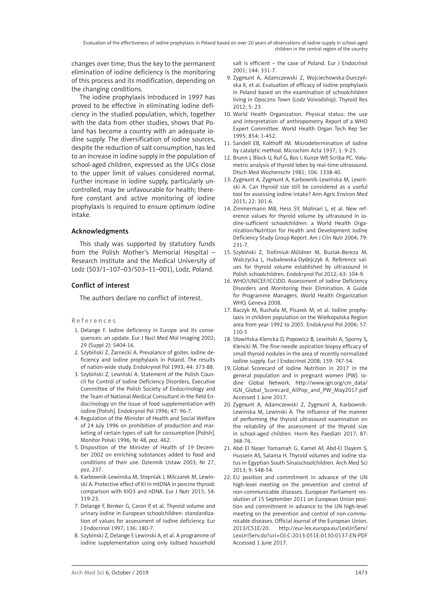Evaluation of the effectiveness of iodine prophylaxis in Poland based on over 20 years of observations of iodine supply in school-aged children in the central region of the country

changes over time; thus the key to the permanent elimination of iodine deficiency is the monitoring of this process and its modification, depending on the changing conditions.

The iodine prophylaxis introduced in 1997 has proved to be effective in eliminating iodine deficiency in the studied population, which, together with the data from other studies, shows that Poland has become a country with an adequate iodine supply. The diversification of iodine sources, despite the reduction of salt consumption, has led to an increase in iodine supply in the population of school-aged children, expressed as the UICs close to the upper limit of values considered normal. Further increase in iodine supply, particularly uncontrolled, may be unfavourable for health; therefore constant and active monitoring of iodine prophylaxis is required to ensure optimum iodine intake.

## Acknowledgments

This study was supported by statutory funds from the Polish Mother's Memorial Hospital – Research Institute and the Medical University of Lodz (503/1–107–03/503–11–001), Lodz, Poland.

## Conflict of interest

The authors declare no conflict of interest.

#### References

- 1. Delange F. Iodine deficiency in Europe and its consequences: an update. Eur J Nucl Med Mol Imaging 2002; 29 (Suppl 2): S404-16.
- 2. Szybiński Z, Żarnecki A. Prevalance of goiter, iodine deficiency and iodine prophylaxis in Poland. The results of nation-wide study. Endokrynol Pol 1993; 44: 373-88.
- 3. Szybiński Z, Lewiński A. Statement of the Polish Council for Control of Iodine Deficiency Disorders, Executive Committee of the Polish Society of Endocrinology and the Team of National Medical Consultant in the field Endocrinology on the issue of food supplementation with iodine [Polish]. Endokrynol Pol 1996; 47: 96-7.
- 4. Regulation of the Minister of Health and Social Welfare of 24 July 1996 on prohibition of production and marketing of certain types of salt for consumption [Polish]. Monitor Polski 1996; Nr 48, poz. 462.
- 5. Disposition of the Minister of Health of 19 December 2002 on enriching substances added to food and conditions of their use. Dziennik Ustaw 2003; Nr 27, poz. 237.
- 6. Karbownik-Lewinska M, Stepniak J, Milczarek M, Lewinski A. Protective effect of KI in mtDNA in porcine thyroid: comparison with KIO3 and nDNA. Eur J Nutr 2015; 54: 319-23.
- 7. Delange F, Benker G, Caron P, et al. Thyroid volume and urinary iodine in European schoolchildren: standardization of values for assessment of iodine deficiency. Eur J Endocrinol 1997; 136: 180-7.
- 8. Szybinski Z, Delange F, Lewinski A, et al. A programme of iodine supplementation using only iodised household

salt is efficient – the case of Poland. Eur J Endocrinol 2001; 144: 331-7.

- 9. Zygmunt A, Adamczewski Z, Wojciechowska-Durczyńska K, et al. Evaluation of efficacy of iodine prophylaxis in Poland based on the examination of schoolchildren living in Opoczno Town (Lodz Voivodship). Thyroid Res 2012; 5: 23.
- 10. World Health Organization. Physical status: the use and interpretation of anthropometry. Report of a WHO Expert Committee. World Health Organ Tech Rep Ser 1995; 854: 1-452.
- 11. Sandell EB, Kolthoff IM. Microdetermination of iodine by catalytic method. Microchim Acta 1937; 1: 9-25.
- 12. Brunn J, Block U, Ruf G, Bos I, Kunze WP, Scriba PC. Volumetric analysis of thyroid lobes by real-time ultrasound. Dtsch Med Wochenschr 1981; 106: 1338-40.
- 13. Zygmunt A, Zygmunt A, Karbownik-Lewińska M, Lewiński A. Can thyroid size still be considered as a useful tool for assessing iodine intake? Ann Agric Environ Med 2015; 22: 301-6.
- 14. Zimmermann MB, Hess SY, Molinari L, et al. New reference values for thyroid volume by ultrasound in iodine-sufficient schoolchildren: a World Health Organization/Nutrition for Health and Development Iodine Deficiency Study Group Report. Am J Clin Nutr 2004; 79: 231-7.
- 15. Szybiński Z, Trofimiuk-Müldner M, Buziak-Bereza M, Walczycka L, Hubalewska-Dydejczyk A. Reference values for thyroid volume established by ultrasound in Polish schoolchildren. Endokrynol Pol 2012; 63: 104-9.
- 16. WHO/UNICEF/ICCIDD. Assessment of Iodine Deficiency Disorders and Monitoring their Elimination. A Guide for Programme Managers. World Health Organization WHO, Geneva 2008.
- 17. Baczyk M, Ruchała M, Pisarek M, et al. Iodine prophylaxis in children population on the Wielkopolska Region area from year 1992 to 2005. Endokrynol Pol 2006; 57: 110-5
- 18. Słowińska-Klencka D, Popowicz B, Lewiński A, Sporny S, Klencki M. The fine-needle aspiration biopsy efficacy of small thyroid nodules in the area of recently normalized iodine supply. [Eur J Endocrinol](https://www.ncbi.nlm.nih.gov/pubmed/18794209) 2008; 159: 747-54.
- 19. Global Scorecard of Iodine Nutrition in 2017 in the general population and in pregnant women (PW). Iodine Global Network. http://www.ign.org/cm\_data/ IGN\_Global\_Scorecard\_AllPop\_and\_PW\_May2017.pdf Accessed 1 June 2017.
- 20. Zygmunt A, Adamczewski Z, Zygmunt A, Karbownik-Lewinska M, Lewinski A. The influence of the manner of performing the thyroid ultrasound examination on the reliability of the assessment of the thyroid size in school-aged children. Horm Res Paediatr 2017; 87: 368-76.
- 21. Abd El Naser Yamamah G, Kamel AF, Abd-El Dayem S, Hussein AS, Salama H. Thyroid volumes and iodine status in Egyptian South Sinaischoolchildren. Arch Med Sci 2013; 9: 548-54.
- 22. EU position and commitment in advance of the UN high-level meeting on the prevention and control of non-communicable diseases. European Parliament resolution of 15 September 2011 on European Union position and commitment in advance to the UN high-level meeting on the prevention and control of non-communicable diseases. Official Journal of the European Union. 2013/C51E/20. http://eur-lex.europa.eu/LexUriServ/ LexUriServ.do?uri=OJ:C:2013:051E:0130:0137:EN:PDF Accessed 1 June 2017.